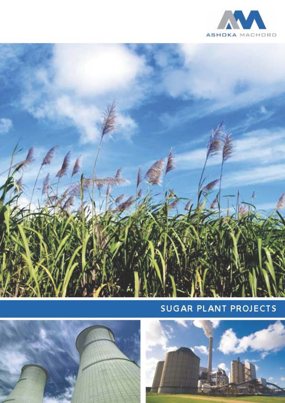



# SUGAR PLANT PROJECTS



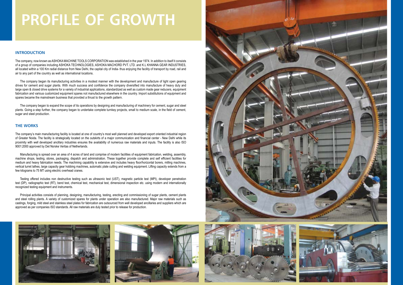# **INTRODUCTION**

The company, now known as ASHOKA MACHINE TOOLS CORPORATION was established in the year 1974. In addition to itself it consists of a group of companies including ASHOKA TECHNOLOGIES, ASHOKA MACHORD PVT. LTD. and K.L KHANNA GEAR INDUSTRIES, all located within a 100 Km radial distance from New Delhi, the capital city of India- thus enjoying the facility of transport by road, rail and air to any part of the country as well as international locations.

The company began its manufacturing activities in a modest manner with the development and manufacture of light open gearing drives for cement and sugar plants. With much success and confidence the company diversified into manufacture of heavy duty and large open & closed drive systems for a variety of industrial applications, standardized as well as custom made gear reducers, equipment fabrication and various customized equipment spares not manufactured elsewhere in the country. Import substitutions of equipment and spares became the mainstream business that provided a thrust to the growth pattern.

The company began to expand the scope of its operations by designing and manufacturing of machinery for cement, sugar and steel plants. Going a step further, the company began to undertake complete turnkey projects, small to medium scale, in the field of cement, sugar and steel production.

Manufacturing is spread over an area of 4 acres of land and comprise of modern facilities of equipment fabrication, welding, assembly, machine shops, testing, stores, packaging, dispatch and administration. These together provide complete and self efficient facilities for medium and heavy fabrication needs. The machining capability is extensive and includes heavy floor/horizontal borers, milling machines, vertical turret lathes, large capacity gear hobbing machines, automatic plate cutting and welding equipment. Lifting capacity extends from a few kilograms to 75 MT using electric overhead cranes.

# **THE WORKS**

The company's main manufacturing facility is located at one of country's most well planned and developed export oriented industrial region of Greater Noida. The facility is strategically located on the outskirts of a major communication and financial center - New Delhi while its proximity with well developed ancillary industries ensures the availability of numerous raw materials and inputs. The facility is also ISO 9001:2000 approved by Det Norske Veritas of Netherlands.

Testing offered includes non destructive testing such as ultrasonic test (UST), magnetic particle test (MPI), developer penetration test (DP), radiographic test (RT), bend test, chemical test, mechanical test, dimensional inspection etc. using modern and internationally recognized testing equipment and instruments.

Principal activities consists of planning, designing, manufacturing, testing, erecting and commissioning of sugar plants, cement plants and steel rolling plants. A variety of customized spares for plants under operation are also manufactured. Major raw materials such as castings, forging, mild steel and stainless steel plates for fabrication are outsourced from well developed ancillaries and suppliers which are approved as per companies ISO standards. All raw materials are duly tested prior to release for production.





# **PROFILE OF GROWTH**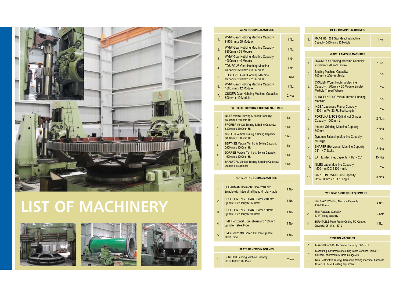| 4.7 | MAAG PF-60 Profile Tester Capacity: 600mm II                                                        |
|-----|-----------------------------------------------------------------------------------------------------|
| 2.  | Measuring instruments including Tooth Verniers, Vernier<br>Calipers, Micrometers, Bore Guage etc.   |
| 3.  | Non Destructive Testing: Ultrasonic testing machine, hardness<br>tester, DP & MPI testing equipment |



# **LIST OF MACHINERY**







| <b>WELDING &amp; CUTTING EQUIPMENT</b>                                         |        |  |  |  |  |
|--------------------------------------------------------------------------------|--------|--|--|--|--|
| MIG & ARC Welding Machine Capacity:<br>400-600 Amp                             | 4 Nos. |  |  |  |  |
| <b>Shell Rotators Capacity:</b><br>40 MT lifting capacity                      | 2 Sets |  |  |  |  |
| <b>BURNTABLE Plate Profile Cutting PC Control,</b><br>Capacity: 96" W x 120" L | 1 No.  |  |  |  |  |
|                                                                                |        |  |  |  |  |

## **GEAR HOBBING MACHINES**

| 1.               | <b>WMW Gear Hobbing Machine Capacity:</b><br>8,500mm x 55 Module      | 1 No.  |
|------------------|-----------------------------------------------------------------------|--------|
| 2.               | <b>WMW Gear Hobbing Machine Capacity:</b><br>6300mm x 55 Module       | 1 No.  |
| 3.               | <b>WMW Gear Hobbing Machine Capacity:</b><br>4000mm x 40 Module       | 1 No.  |
| $\overline{4}$ . | <b>TOS FO-25 Gear Hobbing Machine</b><br>Capacity: 3200mm x 30 Module | 1 No.  |
| 5.               | <b>TOS FO-16 Gear Hobbing Machine</b><br>Capacity: 2000mm x 20 Module | 3 Nos. |
| 6.               | <b>WMW Gear Hobbing Machine Capacity:</b><br>1000 mm x 12 Module      | 1 No.  |
| 7 <sub>1</sub>   | <b>CUIGER Gear Hobbing Machine Capacity:</b><br>800mm x 10 Module     | 2 Nos  |

### **VERTICAL TURNING & BORING MACHINES**

| <b>GEAR GRINDING MACHINES</b> |                                                                                                             |                |  |  |  |
|-------------------------------|-------------------------------------------------------------------------------------------------------------|----------------|--|--|--|
| 1.                            | <b>MAAG HS 150S Gear Grinding Machine</b><br>Capacity: 2000mm x 30 Module                                   | 1 No.          |  |  |  |
|                               |                                                                                                             |                |  |  |  |
|                               | <b>MISCELLANEOUS MACHINES</b>                                                                               |                |  |  |  |
| 1.                            | <b>ROCKFORD Slotting Machine Capacity:</b><br>2500mm x 900mm Stroke                                         | 1 No.          |  |  |  |
| 2.                            | <b>Slotting Machine Capacity:</b><br>500mm x 300mm Stroke                                                   | 1 No.          |  |  |  |
| 3.                            | <b>CRAVEN Worm Hobbing Machine</b><br>Capacity: 1300mm x 20 Module Single/<br><b>Multiple Thread Wheels</b> | 1 No.          |  |  |  |
| $\overline{4}$ .              | <b>KLINGELNBERG Worm Thread Grinding</b><br><b>Machine</b>                                                  | 1 No.          |  |  |  |
| 5.                            | <b>IKGEA Japanese Planer Capacity:</b><br>1400 mm W , 13 Ft. Bed Length                                     | 1 No.          |  |  |  |
| 6.                            | <b>FORTUNA &amp; TOS Cylindrical Grinder</b><br>Capacity: 1000mm L                                          | 2 Nos.         |  |  |  |
| 7.                            | <b>Internal Grinding Machine Capacity:</b><br>600mm                                                         | 2 Nos.         |  |  |  |
| 8.                            | <b>Dynamic Balancing Machine Capacity:</b><br>500 Kgs.                                                      | 1 No.          |  |  |  |
| 9.                            | <b>SHAPER (Horizontal) Machine Capacity:</b><br>24" - 40" Stoke                                             | 2 Nos.         |  |  |  |
| 10.                           | LATHE Machine, Capacity: 41/2' - 20'                                                                        | <b>15 Nos.</b> |  |  |  |
| 11.                           | <b>NILES Lathe Machine Capacity:</b><br>1500 mm D X 6100 mm L                                               | 1 No.          |  |  |  |
| 12.                           | <b>CARLTON Radial Drills Capacity:</b><br>Upto 50 mm x 16 Ft Length                                         | 3 Nos.         |  |  |  |

|  |  |  | <b>TESTING MACHINES</b> |  |  |  |
|--|--|--|-------------------------|--|--|--|
|  |  |  |                         |  |  |  |

### **HORIZONTAL BORING MACHINES**

| 1.               | <b>SCHARMAN Horizontal Borer 240 mm</b><br>Spindle with integral mill head & rotary table | 1 No. |
|------------------|-------------------------------------------------------------------------------------------|-------|
| 2.               | <b>COLLET &amp; ENGELHART Borer 210 mm</b><br>Spindle, Bed length 9600mm                  | 1 No. |
| 3.               | <b>COLLET &amp; ENGELHART Borer 160mm</b><br>Spindle, Bed length 3000mm                   | 1 No. |
| $\overline{4}$ . | HMT Horizontal Borer (Russian) 130 mm<br>Spindle, Table Type                              | 1 No. |
| 5.               | <b>UMB Horizontal Borer 100 mm Spindle,</b><br><b>Table Type</b>                          | 1 No. |

### **PLATE BENDING MACHINES**

| <b>BERTSCH Bending Machine Capacity:</b> | 2 Nos. |
|------------------------------------------|--------|
| Up to 100mm Th. Plate                    |        |

| 1.               | <b>NILES Vertical Turning &amp; Boring Capacity:</b><br>8500mm x 2500mm Ht.   | 1 No. |
|------------------|-------------------------------------------------------------------------------|-------|
| 2.               | <b>FRORIEP Vertical Turning &amp; Boring Capacity:</b><br>6300mm x 2500mm Ht. | 1 No. |
| 3.               | <b>SIMPLEX Vertical Turning &amp; Boring Capacity:</b><br>5000mm x 2000mm Ht. | 1 No. |
| $\overline{4}$ . | <b>BERTHIEZ Vertical Turning &amp; Boring Capacity:</b><br>2600mm x 1000mm Ht | 1 No. |
| 5.               | <b>DORRIES Vertical Turning &amp; Boring Capacity:</b><br>1500mm x 1000mm Ht. | 1 No. |
| 6.               | <b>BRADFORD Vertical Turning &amp; Boring Capacity:</b><br>900mm x 800mm Ht.  | 1 No. |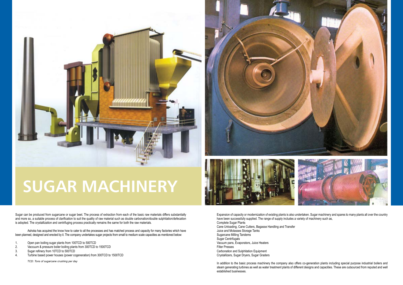Sugar can be produced from sugarcane or sugar beet. The process of extraction from each of the basic raw materials differs substantially and more so, a suitable process of clarification to suit the quality of raw material such as double carbonation/double sulphitation/defecation is adopted. The crystallization and centrifuging process practically remains the same for both the raw materials.

- 1. Open pan boiling sugar plants from 100TCD to 500TCD<br>2. Vaccuum & pressure boiler boiling plants from 300TCD to
- 2. Vaccuum & pressure boiler boiling plants from 300TCD to 1500TCD<br>3. Sugar refinery from 10TCD to 500TCD
- 3. Sugar refinery from 10TCD to 500TCD<br>4. Turbine based power houses (power co
- 4. Turbine based power houses (power cogeneration) from 300TCD to 1500TCD

Ashoka has acquired the know how to cater to all the processes and has matched process and capacity for many factories which have been planned, designed and erected by it. The company undertakes sugar projects from small to medium scale capacities as mentioned below:

 *TCD: Tons of sugarcane crushing per day*







# **SUGAR MACHINERY**

Expansion of capacity or modernization of existing plants is also undertaken. Sugar machinery and spares to many plants all over the country have been successfully supplied. The range of supply includes a variety of machinery such as, Complete Sugar Plants Cane Unloading, Cane Cutters, Bagasse Handling and Transfer Juice and Molasses Storage Tanks Sugarcane Milling Tandems Sugar Centrifugals Vacuum pans, Evaporators, Juice Heaters Filter Presses Carbonation and Sulphitation Equipment Crystallizers, Sugar Dryers, Sugar Graders

In addition to the basic process machinery the company also offers co-generation plants including special purpose industrial boilers and steam generating turbines as well as water treatment plants of different designs and capacities. These are outsourced from reputed and well established businesses.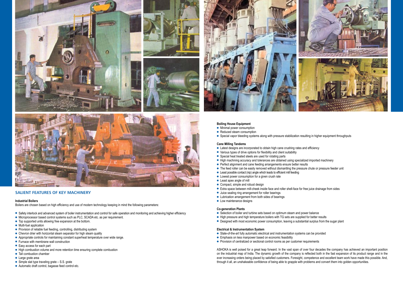![](_page_4_Picture_0.jpeg)

![](_page_4_Picture_1.jpeg)

![](_page_4_Picture_2.jpeg)

![](_page_4_Picture_3.jpeg)

# **salient features of key machinery**

#### **Industrial Boilers**

Boilers are chosen based on high efficiency and use of modern technology keeping in mind the following parameters:

- Safety interlock and advanced system of boiler instrumentation and control for safe operation and monitoring and achieving higher efficiency
- Microprocessor based control systems such as PLC, SCADA etc. as per requirement.
- $\bullet$  Top supported units allowing free expansion at the bottom.
- $\bullet$  Multi-fuel application
- **•** Provision of reliable fuel feeding, controlling, distributing system
- $\bullet$  Chevron drier with horizontal steam separator for high steam quality
- Appropriate controls for maintaining constant superheat temperature over wide range.
- Furnace with membrane wall construction
- $\bullet$  Easy access for each part
- High combustion volume and more retention time ensuring complete combustion
- Tall combustion chamber
- **l** Large grate area
- $\bullet$  Simple slat type traveling grate S.S. grate
- Automatic draft control, bagasse feed control etc.

![](_page_4_Picture_21.jpeg)

#### **Boiling House Equipment**

- $\bullet$  Minimal power consumption
- Reduced steam consumption
- Special vapor bleeding systems along with pressure stabilization resulting in higher equipment throughputs

#### **Cane Milling Tandems**

- Latest designs are incorporated to obtain high cane crushing rates and efficiency
- Various types of drive options for flexibility and client suitability
- **•** Special heat treated steels are used for rotating parts
- High machining accuracy and tolerances are obtained using specialized imported machinery
- Perfect alignment and cane feeding arrangements ensure better results
- The feed roller can be easily removed without dismantling the pressure chute or pressure feeder unit
- $\bullet$  Least possible contact (nip) angle which leads to efficient mill feeding
- Lowest power consumption for a given crush rate
- $\bullet$  Least apex angle of mill
- $\bullet$  Compact, simple and robust design
- Extra space between mill-cheek inside face and roller shell-face for free juice drainage from sides
- $\bullet$  Juice sealing ring arrangement for roller bearings
- Lubrication arrangement from both sides of bearings
- $\bullet$  Low maintenance designs

#### **Co-generation Plants**

- Selection of boiler and turbine sets based on optimum steam and power balance
- High pressure and high temperature boilers with TG sets are supplied for better results
- Designed with most economic power consumption, leaving a substantial surplus from the sugar plant

### **Electrical & Instrumentation System**

- State-of-the-art fully automatic electrical and instrumentation systems can be provided
- **Emphasis on less manpower based on economic feasibility**
- **•** Provision of centralized or sectional control rooms as per customer requirements

ASHOKA is well poised for a great leap forward. In the vast span of over four decades the company has achieved an important position on the industrial map of India. The dynamic growth of the company is reflected both in the fast expansion of its product range and in the ever increasing orders being placed by satisfied customers. Foresight, competence and excellent team work have made this possible. And, through it all, an unshakeable confidence of being able to grapple with problems and convert them into golden opportunities.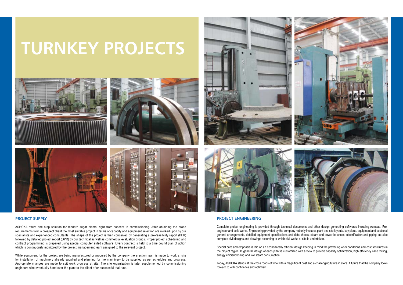# **PROJECT supply**

ASHOKA offers one stop solution for modern sugar plants, right from concept to commissioning. After obtaining the broad requirements from a prospect client the most suitable project in terms of capacity and equipment selection are worked upon by our specialists and experienced consultants. The shape of the project is then conceived by generating a pre-feasibility report (PFR) followed by detailed project report (DPR) by our technical as well as commercial evaluation groups. Proper project scheduling and contract programming is prepared using special computer aided software. Every contract is held to a time bound plan of action which is continuously monitored by the project management team assigned to the relevant project.

While equipment for the project are being manufactured or procured by the company the erection team is made to work at site for installation of machinery already supplied and planning for the machinery to be supplied as per schedules and progress. Appropriate changes are made to suit work progress at site. The site organization is later supplemented by commissioning engineers who eventually hand over the plant to the client after successful trial runs.

![](_page_5_Picture_7.jpeg)

![](_page_5_Picture_8.jpeg)

Special care and emphasis is laid on an economically efficient design keeping in mind the prevailing work conditions and cost structures in the project region. In general, design of each plant is customized with a view to provide capacity optimization, high efficiency cane milling, energy efficient boiling and low steam consumption.

# **TURNKEY PROJECTS**

![](_page_5_Picture_1.jpeg)

![](_page_5_Picture_2.jpeg)

![](_page_5_Picture_3.jpeg)

# **PROJECT engINEERING**

Complete project engineering is provided through technical documents and other design generating softwares including Autocad, Proengineer and solid works. Engineering provided by the company not only includes plant and site layouts, key plans, equipment and sectional general arrangements, detailed equipment specifications and data sheets, steam and power balances, electrification and piping but also complete civil designs and drawings according to which civil works at site is undertaken.

Today, ASHOKA stands at the cross roads of time with a magnificent past and a challenging future in store. A future that the company looks forward to with confidence and optimism.